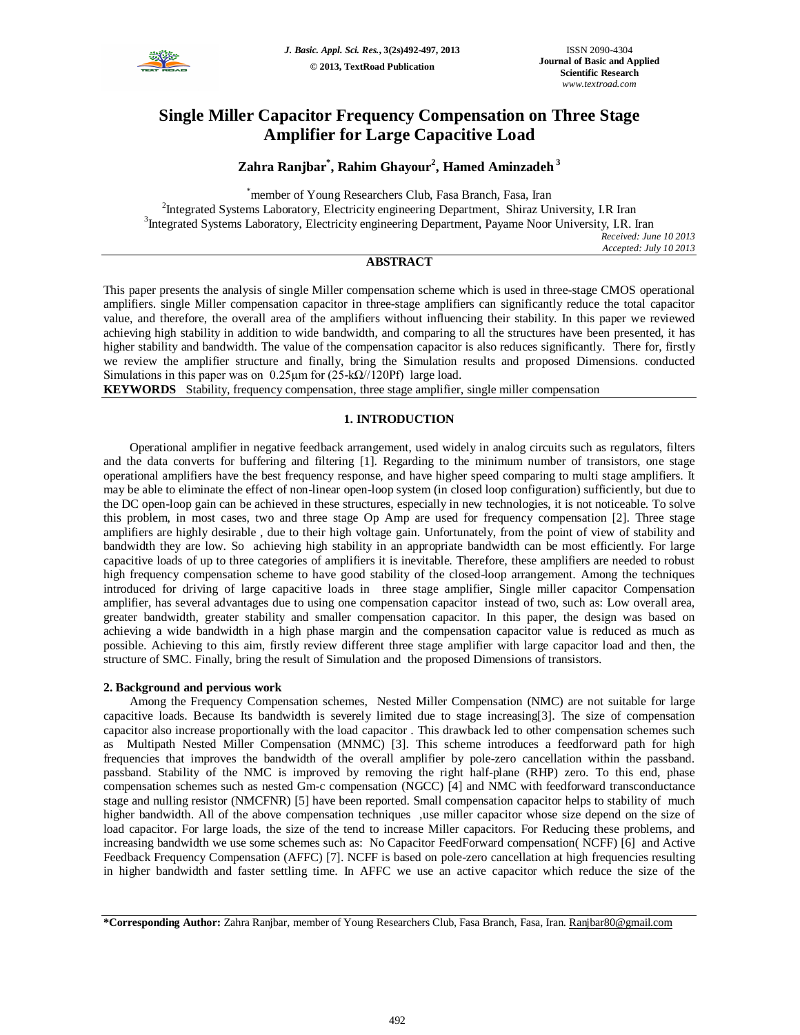

# **Single Miller Capacitor Frequency Compensation on Three Stage Amplifier for Large Capacitive Load**

## **Zahra Ranjbar\* , Rahim Ghayour<sup>2</sup> , Hamed Aminzadeh <sup>3</sup>**

\*member of Young Researchers Club, Fasa Branch, Fasa, Iran <sup>2</sup>Integrated Systems Laboratory, Electricity engineering Department, Shiraz University, I.R Iran <sup>3</sup>Integrated Systems Laboratory, Electricity engineering Department, Payame Noor University, I.R. Iran *Received: June 10 2013 Accepted: July 10 2013*

## **ABSTRACT**

This paper presents the analysis of single Miller compensation scheme which is used in three-stage CMOS operational amplifiers. single Miller compensation capacitor in three-stage amplifiers can significantly reduce the total capacitor value, and therefore, the overall area of the amplifiers without influencing their stability. In this paper we reviewed achieving high stability in addition to wide bandwidth, and comparing to all the structures have been presented, it has higher stability and bandwidth. The value of the compensation capacitor is also reduces significantly. There for, firstly we review the amplifier structure and finally, bring the Simulation results and proposed Dimensions. conducted Simulations in this paper was on  $0.25\mu m$  for  $(25-k\Omega/120Pf)$  large load.

**KEYWORDS** Stability, frequency compensation, three stage amplifier, single miller compensation

### **1. INTRODUCTION**

Operational amplifier in negative feedback arrangement, used widely in analog circuits such as regulators, filters and the data converts for buffering and filtering [1]. Regarding to the minimum number of transistors, one stage operational amplifiers have the best frequency response, and have higher speed comparing to multi stage amplifiers. It may be able to eliminate the effect of non-linear open-loop system (in closed loop configuration) sufficiently, but due to the DC open-loop gain can be achieved in these structures, especially in new technologies, it is not noticeable. To solve this problem, in most cases, two and three stage Op Amp are used for frequency compensation [2]. Three stage amplifiers are highly desirable , due to their high voltage gain. Unfortunately, from the point of view of stability and bandwidth they are low. So achieving high stability in an appropriate bandwidth can be most efficiently. For large capacitive loads of up to three categories of amplifiers it is inevitable. Therefore, these amplifiers are needed to robust high frequency compensation scheme to have good stability of the closed-loop arrangement. Among the techniques introduced for driving of large capacitive loads in three stage amplifier, Single miller capacitor Compensation amplifier, has several advantages due to using one compensation capacitor instead of two, such as: Low overall area, greater bandwidth, greater stability and smaller compensation capacitor. In this paper, the design was based on achieving a wide bandwidth in a high phase margin and the compensation capacitor value is reduced as much as possible. Achieving to this aim, firstly review different three stage amplifier with large capacitor load and then, the structure of SMC. Finally, bring the result of Simulation and the proposed Dimensions of transistors.

#### **2. Background and pervious work**

Among the Frequency Compensation schemes, Nested Miller Compensation (NMC) are not suitable for large capacitive loads. Because Its bandwidth is severely limited due to stage increasing[3]. The size of compensation capacitor also increase proportionally with the load capacitor . This drawback led to other compensation schemes such as Multipath Nested Miller Compensation (MNMC) [3]. This scheme introduces a feedforward path for high frequencies that improves the bandwidth of the overall amplifier by pole-zero cancellation within the passband. passband. Stability of the NMC is improved by removing the right half-plane (RHP) zero. To this end, phase compensation schemes such as nested Gm-c compensation (NGCC) [4] and NMC with feedforward transconductance stage and nulling resistor (NMCFNR) [5] have been reported. Small compensation capacitor helps to stability of much higher bandwidth. All of the above compensation techniques ,use miller capacitor whose size depend on the size of load capacitor. For large loads, the size of the tend to increase Miller capacitors. For Reducing these problems, and increasing bandwidth we use some schemes such as: No Capacitor FeedForward compensation( NCFF) [6] and Active Feedback Frequency Compensation (AFFC) [7]. NCFF is based on pole-zero cancellation at high frequencies resulting in higher bandwidth and faster settling time. In AFFC we use an active capacitor which reduce the size of the

**<sup>\*</sup>Corresponding Author:** Zahra Ranjbar, member of Young Researchers Club, Fasa Branch, Fasa, Iran. Ranjbar80@gmail.com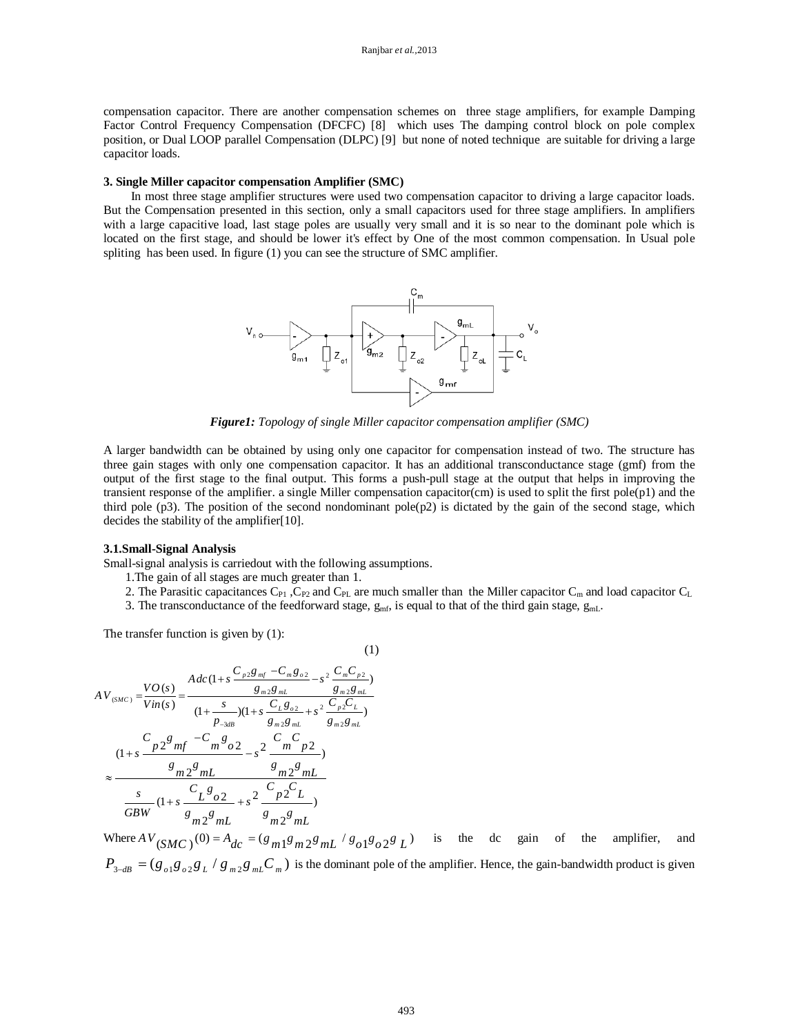compensation capacitor. There are another compensation schemes on three stage amplifiers, for example Damping Factor Control Frequency Compensation (DFCFC) [8] which uses The damping control block on pole complex position, or Dual LOOP parallel Compensation (DLPC) [9] but none of noted technique are suitable for driving a large capacitor loads.

#### **3. Single Miller capacitor compensation Amplifier (SMC)**

In most three stage amplifier structures were used two compensation capacitor to driving a large capacitor loads. But the Compensation presented in this section, only a small capacitors used for three stage amplifiers. In amplifiers with a large capacitive load, last stage poles are usually very small and it is so near to the dominant pole which is located on the first stage, and should be lower it's effect by One of the most common compensation. In Usual pole spliting has been used. In figure (1) you can see the structure of SMC amplifier.



*Figure1: Topology of single Miller capacitor compensation amplifier (SMC)*

A larger bandwidth can be obtained by using only one capacitor for compensation instead of two. The structure has three gain stages with only one compensation capacitor. It has an additional transconductance stage (gmf) from the output of the first stage to the final output. This forms a push-pull stage at the output that helps in improving the transient response of the amplifier. a single Miller compensation capacitor(cm) is used to split the first pole $(p1)$  and the third pole  $(p3)$ . The position of the second nondominant pole $(p2)$  is dictated by the gain of the second stage, which decides the stability of the amplifier[10].

#### **3.1.Small-Signal Analysis**

Small-signal analysis is carriedout with the following assumptions.

- 1.The gain of all stages are much greater than 1.
- 2. The Parasitic capacitances  $C_{P1}$ ,  $C_{P2}$  and  $C_{PL}$  are much smaller than the Miller capacitor  $C_m$  and load capacitor  $C_L$
- 3. The transconductance of the feedforward stage,  $g_{\text{mf}}$ , is equal to that of the third gain stage,  $g_{\text{mL}}$ .

(1)

The transfer function is given by (1):

$$
AV_{(SMC)} = \frac{VO(s)}{Vin(s)} = \frac{Adc(1+s\frac{C_{p2}g_{mf} - C_m g_{o2}}{g_{m2}g_{ml}} - s^2 \frac{C_m C_{p2}}{g_{m2}g_{ml}})}{(1 + \frac{s}{P_{-3dB}})(1 + s \frac{C_L g_{o2}}{g_{m2}g_{ml}} + s^2 \frac{C_p C_L}{g_{m2}g_{ml}})}
$$
  

$$
\approx \frac{C_{p2}g_{mf} - C_m g_{o2}}{g_{m2}g_{ml}} - s^2 \frac{C_m C_p}{g_{m2}g_{ml}}
$$
  

$$
\approx \frac{g_{m2}g_{ml}}{GBW} (1 + s \frac{C_L g_{o2}}{g_{m2}g_{ml}} + s^2 \frac{C_p C_L}{g_{m2}g_{ml}})
$$

Where  $AV_{(SMC)}(0) = A_{dc} = (g_{m1}g_{m2}g_{m1} / g_{o1}g_{o2}g_{L})$  is the dc gain of the amplifier, and  $P_{3-dB} = (g_{\rho 1}g_{\rho 2}g_L/g_{m2}g_{mL}G_m)$  is the dominant pole of the amplifier. Hence, the gain-bandwidth product is given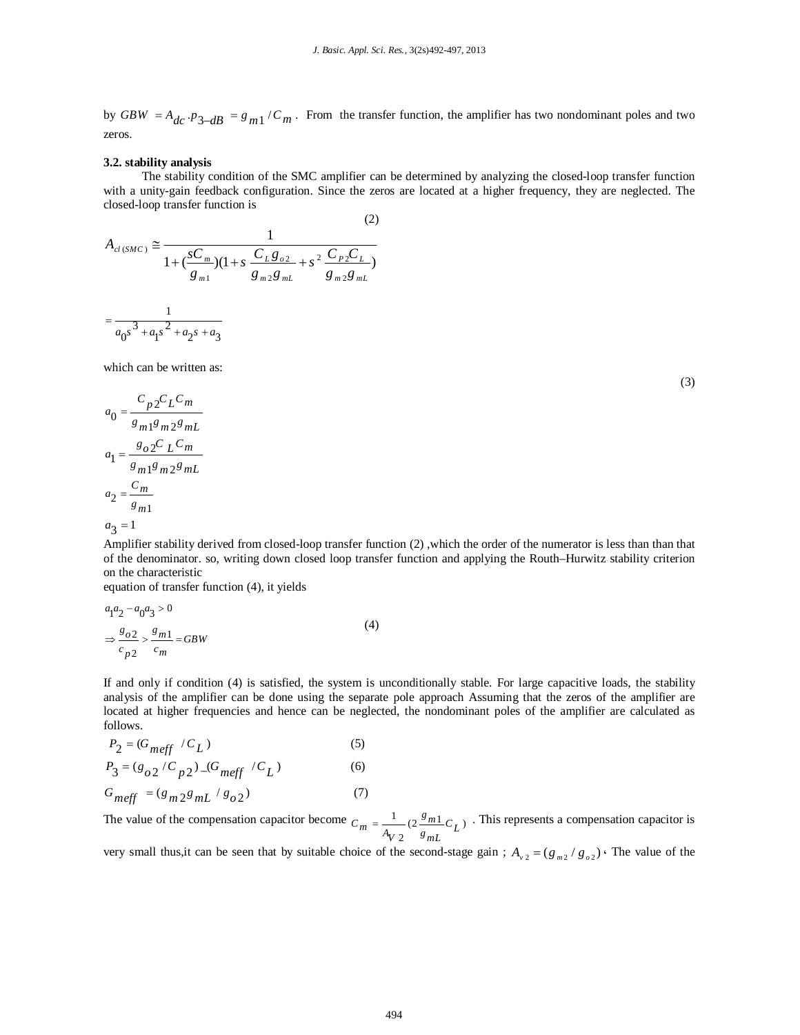by  $GBW = A_{dc} \cdot p_{3-dB} = g_{m1} / C_m$ . From the transfer function, the amplifier has two nondominant poles and two zeros.

#### **3.2. stability analysis**

The stability condition of the SMC amplifier can be determined by analyzing the closed-loop transfer function with a unity-gain feedback configuration. Since the zeros are located at a higher frequency, they are neglected. The closed-loop transfer function is

(2)

$$
A_{cl(SMC)} \approx \frac{1}{1 + (\frac{sC_m}{g_{m1}})(1 + s \frac{C_L g_{o2}}{g_{m2}g_{mL}} + s^2 \frac{C_P C_L}{g_{m2}g_{mL}})}
$$
  
= 
$$
\frac{1}{a_0 s^3 + a_1 s^2 + a_2 s + a_3}
$$

which can be written as:

$$
a_0 = \frac{C_p 2C_L C_m}{g_{m1}g_{m2}g_{mL}}
$$

$$
a_1 = \frac{g_o 2C_L C_m}{g_{m1}g_{m2}g_{mL}}
$$

$$
a_2 = \frac{C_m}{g_{m1}}
$$

$$
a_3 = 1
$$

Amplifier stability derived from closed-loop transfer function (2) ,which the order of the numerator is less than than that of the denominator. so, writing down closed loop transfer function and applying the Routh–Hurwitz stability criterion on the characteristic

equation of transfer function (4), it yields

$$
a_1 a_2 - a_0 a_3 > 0
$$
  
\n
$$
\Rightarrow \frac{g_{o2}}{c_{p2}} > \frac{g_{m1}}{c_m} = GBW
$$
\n(4)

If and only if condition (4) is satisfied, the system is unconditionally stable. For large capacitive loads, the stability analysis of the amplifier can be done using the separate pole approach Assuming that the zeros of the amplifier are located at higher frequencies and hence can be neglected, the nondominant poles of the amplifier are calculated as follows.

$$
P_2 = (G_{meff} / C_L) \tag{5}
$$

$$
P_3 = (g_{o2} / C_{p2}) \_ (G_{meff} / C_L)
$$
 (6)

$$
G_{meff} = (g_{m2}g_{mL} / g_{o2})
$$
 (7)

The value of the compensation capacitor become  $C_m = \frac{1}{2} (2 \frac{g_{m1}}{g} C_I)$  $C_m = \frac{1}{A_V 2} (2 \frac{g_{m1}}{g_{mL}} C_L)$ . This represents a compensation capacitor is

very small thus, it can be seen that by suitable choice of the second-stage gain;  $A_{v2} = (g_{m2}/g_{02})$ . The value of the

(3)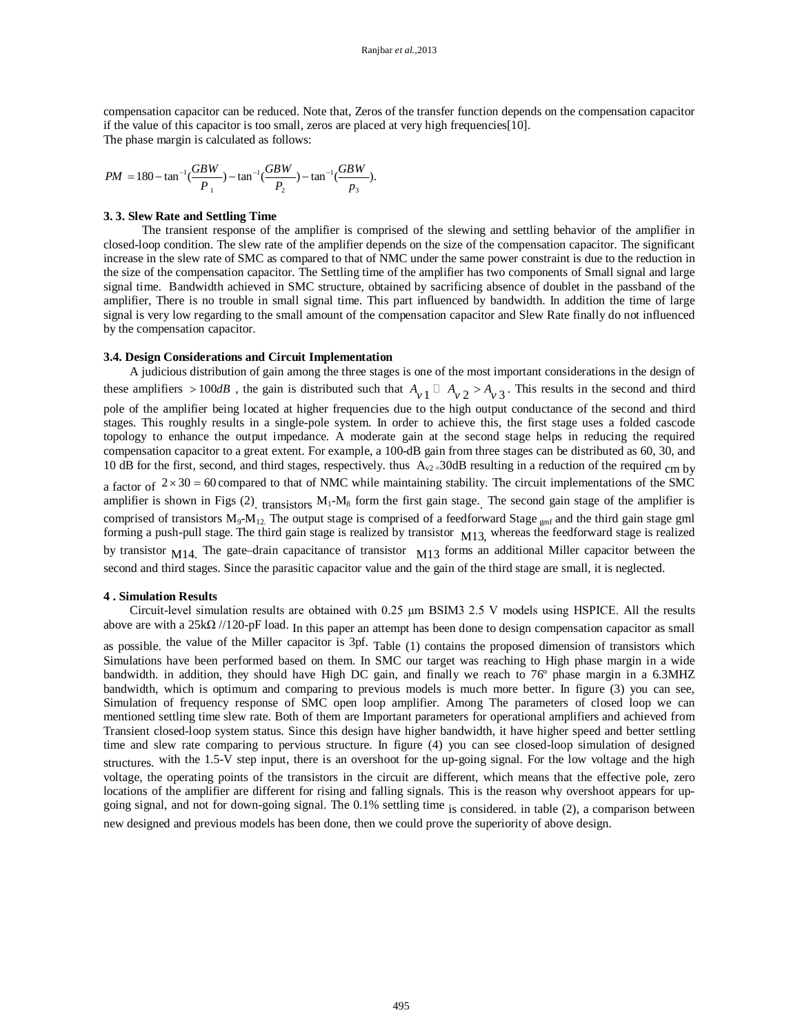compensation capacitor can be reduced. Note that, Zeros of the transfer function depends on the compensation capacitor if the value of this capacitor is too small, zeros are placed at very high frequencies[10]. The phase margin is calculated as follows:

 $1/UDW \rightarrow \tan^{-1}(UDW) \rightarrow \tan^{-1}(Udw)$  $PM = 180 - \tan^{-1} \left( \frac{GBW}{P_1} \right) - \tan^{-1} \left( \frac{GBW}{P_2} \right) - \tan^{-1} \left( \frac{GBW}{P_3} \right).$  $=180-\tan^{-1}(\frac{0.00 \text{ W}}{R})-\tan^{-1}(\frac{0.00 \text{ W}}{R})-\tan^{-1}(\frac{0.00 \text{ W}}{R})$ 

1  $P_3$ 

#### **3. 3. Slew Rate and Settling Time**

The transient response of the amplifier is comprised of the slewing and settling behavior of the amplifier in closed-loop condition. The slew rate of the amplifier depends on the size of the compensation capacitor. The significant increase in the slew rate of SMC as compared to that of NMC under the same power constraint is due to the reduction in the size of the compensation capacitor. The Settling time of the amplifier has two components of Small signal and large signal time. Bandwidth achieved in SMC structure, obtained by sacrificing absence of doublet in the passband of the amplifier, There is no trouble in small signal time. This part influenced by bandwidth. In addition the time of large signal is very low regarding to the small amount of the compensation capacitor and Slew Rate finally do not influenced by the compensation capacitor.

#### **3.4. Design Considerations and Circuit Implementation**

A judicious distribution of gain among the three stages is one of the most important considerations in the design of these amplifiers  $> 100$ *dB*, the gain is distributed such that  $A_{\nu}$   $\Box$   $A_{\nu}$   $\Box$   $A_{\nu}$   $\Box$   $A_{\nu}$   $\Box$   $A_{\nu}$   $\Box$   $A_{\nu}$   $\Box$   $A_{\nu}$   $\Box$   $A_{\nu}$   $\Box$   $A_{\nu}$   $\Box$   $A_{\nu}$   $\Box$   $A_{\nu}$   $\Box$   $A_{\nu}$   $\Box$  pole of the amplifier being located at higher frequencies due to the high output conductance of the second and third stages. This roughly results in a single-pole system. In order to achieve this, the first stage uses a folded cascode topology to enhance the output impedance. A moderate gain at the second stage helps in reducing the required compensation capacitor to a great extent. For example, a 100-dB gain from three stages can be distributed as 60, 30, and 10 dB for the first, second, and third stages, respectively. thus  $A_{v2}=30$ dB resulting in a reduction of the required cm by a factor of  $2 \times 30 = 60$  compared to that of NMC while maintaining stability. The circuit implementations of the SMC amplifier is shown in Figs  $(2)$ , transistors  $M_1-M_8$  form the first gain stage. The second gain stage of the amplifier is comprised of transistors M<sub>9</sub>-M<sub>12</sub>. The output stage is comprised of a feedforward Stage <sub>gmf</sub> and the third gain stage gml forming a push-pull stage. The third gain stage is realized by transistor  $M13$ , whereas the feedforward stage is realized by transistor <sub>M14</sub>. The gate–drain capacitance of transistor <sub>M13</sub> forms an additional Miller capacitor between the second and third stages. Since the parasitic capacitor value and the gain of the third stage are small, it is neglected.

#### **4 . Simulation Results**

Circuit-level simulation results are obtained with 0.25 µm BSIM3 2.5 V models using HSPICE. All the results above are with a 25kΩ //120-pF load. In this paper an attempt has been done to design compensation capacitor as small as possible. the value of the Miller capacitor is 3pf. Table (1) contains the proposed dimension of transistors which Simulations have been performed based on them. In SMC our target was reaching to High phase margin in a wide bandwidth. in addition, they should have High DC gain, and finally we reach to 76º phase margin in a 6.3MHZ bandwidth, which is optimum and comparing to previous models is much more better. In figure (3) you can see, Simulation of frequency response of SMC open loop amplifier. Among The parameters of closed loop we can mentioned settling time slew rate. Both of them are Important parameters for operational amplifiers and achieved from Transient closed-loop system status. Since this design have higher bandwidth, it have higher speed and better settling time and slew rate comparing to pervious structure. In figure (4) you can see closed-loop simulation of designed structures. with the 1.5-V step input, there is an overshoot for the up-going signal. For the low voltage and the high voltage, the operating points of the transistors in the circuit are different, which means that the effective pole, zero locations of the amplifier are different for rising and falling signals. This is the reason why overshoot appears for upgoing signal, and not for down-going signal. The 0.1% settling time is considered. in table (2), a comparison between new designed and previous models has been done, then we could prove the superiority of above design.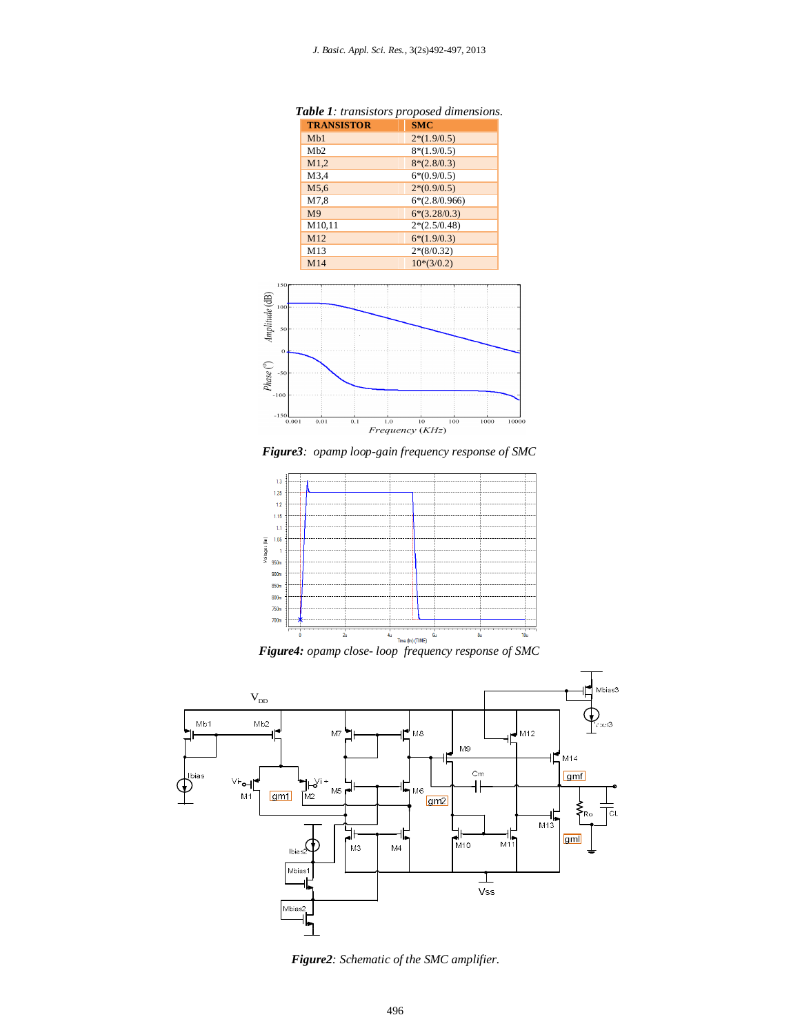| <b>TRANSISTOR</b> | <b>SMC</b>      |
|-------------------|-----------------|
| M <sub>b1</sub>   | $2*(1.9/0.5)$   |
| Mh2               | $8*(1.9/0.5)$   |
| M1.2              | $8*(2.8/0.3)$   |
| M3.4              | $6*(0.9/0.5)$   |
| M5.6              | $2*(0.9/0.5)$   |
| M7.8              | $6*(2.8/0.966)$ |
| M <sub>9</sub>    | $6*(3.28/0.3)$  |
| M10,11            | $2*(2.5/0.48)$  |
| M12               | $6*(1.9/0.3)$   |
| M13               | $2*(8/0.32)$    |
| M14               | $10*(3/0.2)$    |

*Table 1: transistors proposed dimensions.*



*Figure3: opamp loop-gain frequency response of SMC*





*Figure2: Schematic of the SMC amplifier.*